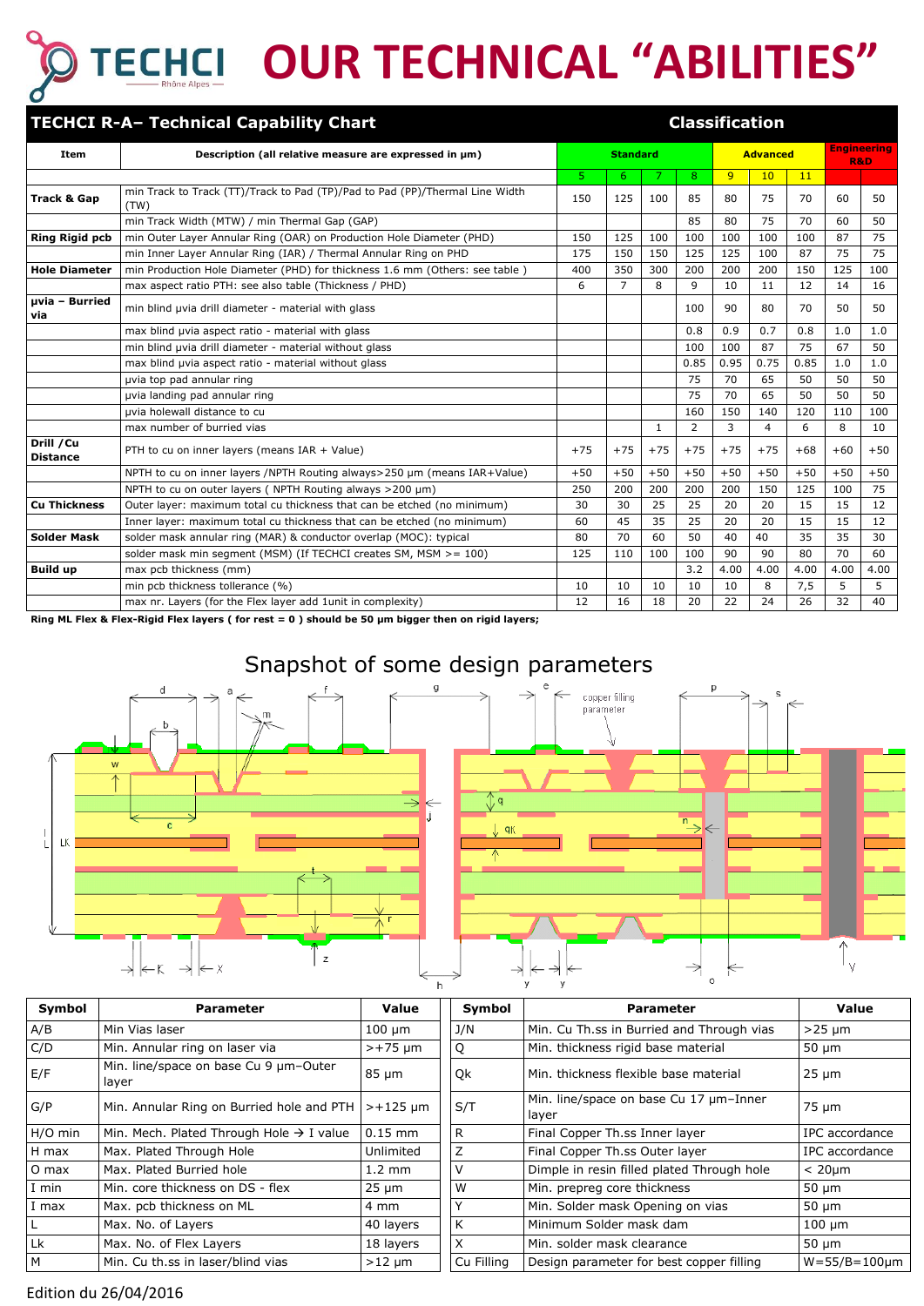# **OUR TECHNICAL "ABILITIES"**

|                               | <b>TECHCI R-A- Technical Capability Chart</b>                                        |       |                 |       |       |                 | <b>Classification</b> |                                      |       |       |
|-------------------------------|--------------------------------------------------------------------------------------|-------|-----------------|-------|-------|-----------------|-----------------------|--------------------------------------|-------|-------|
| Item                          | Description (all relative measure are expressed in $\mu$ m)                          |       | <b>Standard</b> |       |       | <b>Advanced</b> |                       | <b>Engineering</b><br><b>R&amp;D</b> |       |       |
|                               |                                                                                      | 5.    | 6.              | 7     | 8     | 9               | 10                    | 11                                   |       |       |
| <b>Track &amp; Gap</b>        | min Track to Track (TT)/Track to Pad (TP)/Pad to Pad (PP)/Thermal Line Width<br>(TW) | 150   | 125             | 100   | 85    | 80              | 75                    | 70                                   | 60    | 50    |
|                               | min Track Width (MTW) / min Thermal Gap (GAP)                                        |       |                 |       | 85    | 80              | 75                    | 70                                   | 60    | 50    |
| <b>Ring Rigid pcb</b>         | min Outer Layer Annular Ring (OAR) on Production Hole Diameter (PHD)                 |       | 125             | 100   | 100   | 100             | 100                   | 100                                  | 87    | 75    |
|                               | min Inner Layer Annular Ring (IAR) / Thermal Annular Ring on PHD                     | 175   | 150             | 150   | 125   | 125             | 100                   | 87                                   | 75    | 75    |
| <b>Hole Diameter</b>          | min Production Hole Diameter (PHD) for thickness 1.6 mm (Others: see table)          | 400   | 350             | 300   | 200   | 200             | 200                   | 150                                  | 125   | 100   |
|                               | max aspect ratio PTH: see also table (Thickness / PHD)                               | 6     | $\overline{7}$  | 8     | 9     | 10              | 11                    | 12                                   | 14    | 16    |
| µvia - Burried<br>via         | min blind uvia drill diameter - material with glass                                  |       |                 |       | 100   | 90              | 80                    | 70                                   | 50    | 50    |
|                               | max blind uvia aspect ratio - material with glass                                    |       |                 |       | 0.8   | 0.9             | 0.7                   | 0.8                                  | 1.0   | 1.0   |
|                               | min blind uvia drill diameter - material without glass                               |       |                 |       | 100   | 100             | 87                    | 75                                   | 67    | 50    |
|                               | max blind uvia aspect ratio - material without glass                                 |       |                 |       | 0.85  | 0.95            | 0.75                  | 0.85                                 | 1.0   | 1.0   |
|                               | uvia top pad annular ring                                                            |       |                 |       | 75    | 70              | 65                    | 50                                   | 50    | 50    |
|                               | uvia landing pad annular ring                                                        |       |                 |       | 75    | 70              | 65                    | 50                                   | 50    | 50    |
|                               | uvia holewall distance to cu                                                         |       |                 |       | 160   | 150             | 140                   | 120                                  | 110   | 100   |
|                               | max number of burried vias                                                           |       |                 | 1     | 2     | 3               | 4                     | 6                                    | 8     | 10    |
| Drill / Cu<br><b>Distance</b> | PTH to cu on inner layers (means IAR + Value)                                        | $+75$ | $+75$           | $+75$ | $+75$ | $+75$           | $+75$                 | $+68$                                | $+60$ | $+50$ |
|                               | NPTH to cu on inner layers /NPTH Routing always>250 µm (means IAR+Value)             | $+50$ | $+50$           | $+50$ | $+50$ | $+50$           | $+50$                 | $+50$                                | $+50$ | $+50$ |
|                               | NPTH to cu on outer layers (NPTH Routing always >200 µm)                             | 250   | 200             | 200   | 200   | 200             | 150                   | 125                                  | 100   | 75    |
| <b>Cu Thickness</b>           | Outer layer: maximum total cu thickness that can be etched (no minimum)              | 30    | 30              | 25    | 25    | 20              | 20                    | 15                                   | 15    | 12    |
|                               | Inner layer: maximum total cu thickness that can be etched (no minimum)              | 60    | 45              | 35    | 25    | 20              | 20                    | 15                                   | 15    | 12    |
| <b>Solder Mask</b>            | solder mask annular ring (MAR) & conductor overlap (MOC): typical                    | 80    | 70              | 60    | 50    | 40              | 40                    | 35                                   | 35    | 30    |
|                               | solder mask min segment (MSM) (If TECHCI creates SM, MSM >= 100)                     | 125   | 110             | 100   | 100   | 90              | 90                    | 80                                   | 70    | 60    |
| <b>Build up</b>               | max pcb thickness (mm)                                                               |       |                 |       | 3.2   | 4.00            | 4.00                  | 4.00                                 | 4.00  | 4.00  |
|                               | min pcb thickness tollerance (%)                                                     | 10    | 10              | 10    | 10    | 10              | 8                     | 7,5                                  | 5     | 5     |
|                               | max nr. Layers (for the Flex layer add 1unit in complexity)                          | 12    | 16              | 18    | 20    | 22              | 24                    | 26                                   | 32    | 40    |

**Ring ML Flex & Flex-Rigid Flex layers ( for rest = 0 ) should be 50 μm bigger then on rigid layers;** 







| Symbol       | <b>Parameter</b>                                     | Value            | Symbol     | <b>Parameter</b>                                | Value                  |  |
|--------------|------------------------------------------------------|------------------|------------|-------------------------------------------------|------------------------|--|
| A/B          | Min Vias laser                                       | $100 \mu m$      | J/N        | Min. Cu Th.ss in Burried and Through vias       | $>25 \mu m$            |  |
| C/D          | Min. Annular ring on laser via                       | $>+75 \mu m$     | Q          | Min. thickness rigid base material              | $50 \mu m$             |  |
| E/F          | Min. line/space on base Cu 9 um-Outer<br>layer       | $85 \mu m$       | Qk         | Min. thickness flexible base material           | $25 \mu m$             |  |
| G/P          | Min. Annular Ring on Burried hole and PTH            | $> +125$ um      | S/T        | Min. line/space on base Cu 17 µm-Inner<br>layer | 75 µm                  |  |
| H/O min      | Min. Mech. Plated Through Hole $\rightarrow$ I value | $0.15$ mm        | R          | Final Copper Th.ss Inner layer                  | IPC accordance         |  |
| H max        | Max. Plated Through Hole                             | Unlimited        | Z          | Final Copper Th.ss Outer layer                  | IPC accordance         |  |
| O max        | Max. Plated Burried hole                             | $1.2 \text{ mm}$ | V          | Dimple in resin filled plated Through hole      | $< 20 \mu m$           |  |
| I min        | Min. core thickness on DS - flex                     | $25 \mu m$       | W          | Min. prepreg core thickness                     | $50 \mu m$             |  |
| I max        | Max. pcb thickness on ML                             | 4 mm             | ν          | Min. Solder mask Opening on vias                | $50 \mu m$             |  |
| $\mathsf{L}$ | Max. No. of Layers                                   | 40 layers        | K          | Minimum Solder mask dam                         | $100 \mu m$            |  |
| Lk           | Max. No. of Flex Layers                              | 18 layers        | X          | Min. solder mask clearance                      | $50 \mu m$             |  |
| M            | Min. Cu th.ss in laser/blind vias                    | $>12 \mu m$      | Cu Filling | Design parameter for best copper filling        | $W = 55/B = 100 \mu m$ |  |

#### Edition du 26/04/2016